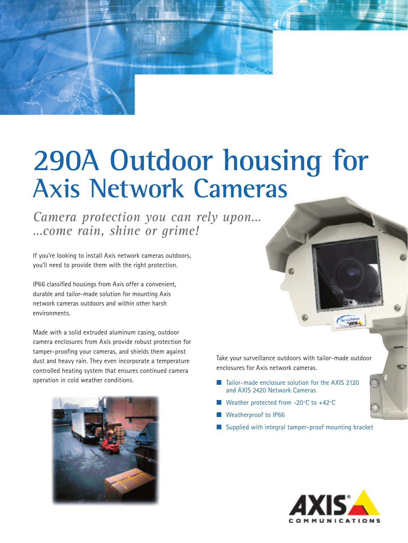# **290A Outdoor housing for Axis Network Cameras**

*Camera protection you can rely upon… …come rain, shine or grime!*

If you're looking to install Axis network cameras outdoors, you'll need to provide them with the right protection.

IP66 classified housings from Axis offer a convenient, durable and tailor-made solution for mounting Axis network cameras outdoors and within other harsh environments.

Made with a solid extruded aluminum casing, outdoor camera enclosures from Axis provide robust protection for tamper-proofing your cameras, and shields them against dust and heavy rain. They even incorporate a temperature controlled heating system that ensures continued camera operation in cold weather conditions.



Take your surveillance outdoors with tailor-made outdoor enclosures for Axis network cameras.

- Tailor-made enclosure solution for the AXIS 2120 and AXIS 2420 Network Cameras
- Weather protected from  $-20°C$  to  $+42°C$
- **Weatherproof to IP66**
- Supplied with integral tamper-proof mounting bracket



**Chance**